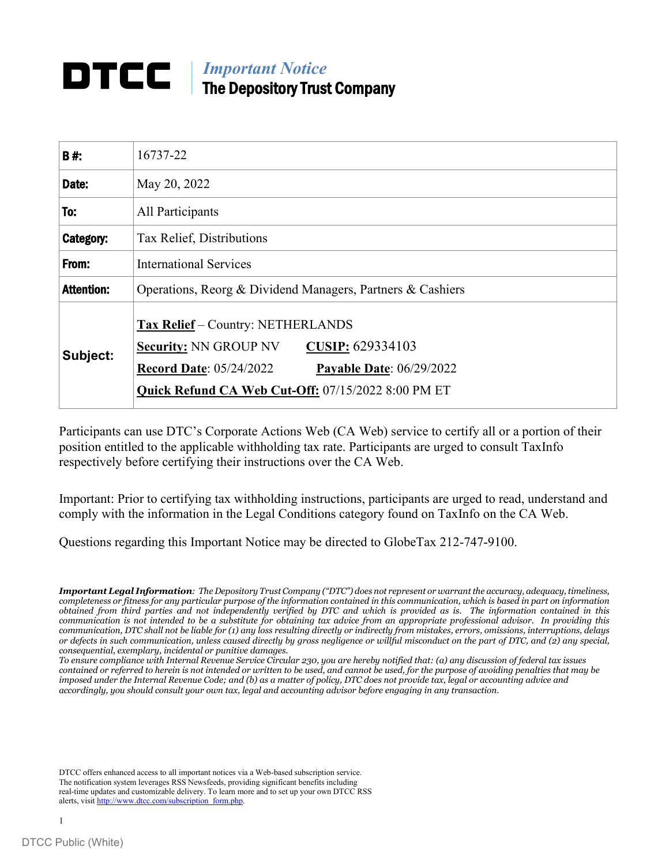# **IMPortant Notice** The Depository Trust Company

| B#:               | 16737-22                                                                                                                                                                                                                |  |  |
|-------------------|-------------------------------------------------------------------------------------------------------------------------------------------------------------------------------------------------------------------------|--|--|
| Date:             | May 20, 2022                                                                                                                                                                                                            |  |  |
| To:               | All Participants                                                                                                                                                                                                        |  |  |
| Category:         | Tax Relief, Distributions                                                                                                                                                                                               |  |  |
| From:             | <b>International Services</b>                                                                                                                                                                                           |  |  |
| <b>Attention:</b> | Operations, Reorg & Dividend Managers, Partners & Cashiers                                                                                                                                                              |  |  |
| Subject:          | <b>Tax Relief</b> - Country: NETHERLANDS<br>CUSIP: 629334103<br><b>Security: NN GROUP NV</b><br><b>Record Date: 05/24/2022</b><br><b>Payable Date: 06/29/2022</b><br>Quick Refund CA Web Cut-Off: 07/15/2022 8:00 PM ET |  |  |

Participants can use DTC's Corporate Actions Web (CA Web) service to certify all or a portion of their position entitled to the applicable withholding tax rate. Participants are urged to consult TaxInfo respectively before certifying their instructions over the CA Web.

Important: Prior to certifying tax withholding instructions, participants are urged to read, understand and comply with the information in the Legal Conditions category found on TaxInfo on the CA Web.

Questions regarding this Important Notice may be directed to GlobeTax 212-747-9100.

DTCC offers enhanced access to all important notices via a Web-based subscription service. The notification system leverages RSS Newsfeeds, providing significant benefits including real-time updates and customizable delivery. To learn more and to set up your own DTCC RSS alerts, visit [http://www.dtcc.com/subscription\\_form.php.](http://www.dtcc.com/subscription_form.php)

*Important Legal Information: The Depository Trust Company ("DTC") does not represent or warrant the accuracy, adequacy, timeliness, completeness or fitness for any particular purpose of the information contained in this communication, which is based in part on information obtained from third parties and not independently verified by DTC and which is provided as is. The information contained in this communication is not intended to be a substitute for obtaining tax advice from an appropriate professional advisor. In providing this communication, DTC shall not be liable for (1) any loss resulting directly or indirectly from mistakes, errors, omissions, interruptions, delays or defects in such communication, unless caused directly by gross negligence or willful misconduct on the part of DTC, and (2) any special, consequential, exemplary, incidental or punitive damages.*

*To ensure compliance with Internal Revenue Service Circular 230, you are hereby notified that: (a) any discussion of federal tax issues contained or referred to herein is not intended or written to be used, and cannot be used, for the purpose of avoiding penalties that may be imposed under the Internal Revenue Code; and (b) as a matter of policy, DTC does not provide tax, legal or accounting advice and accordingly, you should consult your own tax, legal and accounting advisor before engaging in any transaction.*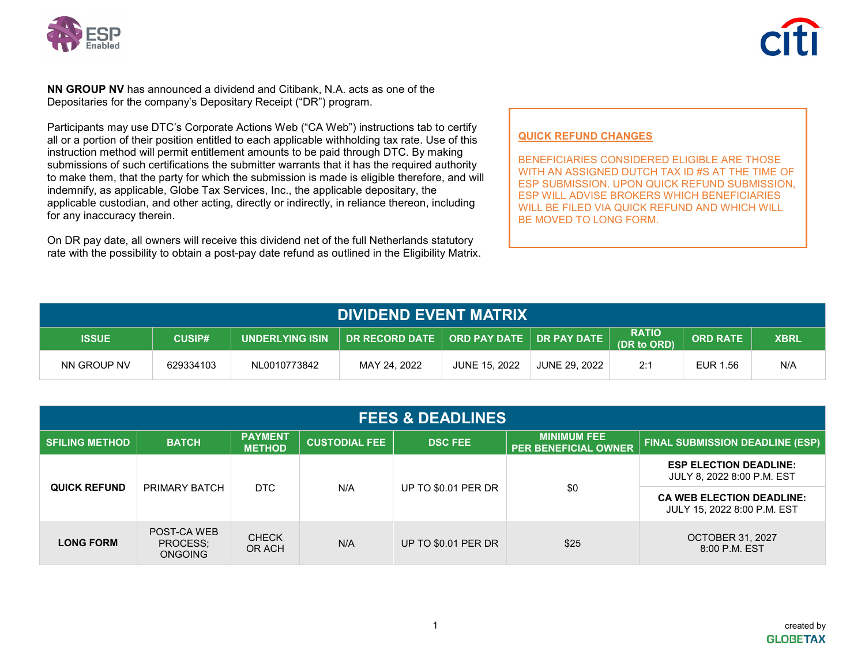

**NN GROUP NV** has announced a dividend and Citibank, N.A. acts as one of the Depositaries for the company's Depositary Receipt ("DR") program.

Participants may use DTC's Corporate Actions Web ("CA Web") instructions tab to certify all or a portion of their position entitled to each applicable withholding tax rate. Use of this instruction method will permit entitlement amounts to be paid through DTC. By making submissions of such certifications the submitter warrants that it has the required authority to make them, that the party for which the submission is made is eligible therefore, and will indemnify, as applicable, Globe Tax Services, Inc., the applicable depositary, the applicable custodian, and other acting, directly or indirectly, in reliance thereon, including for any inaccuracy therein.

On DR pay date, all owners will receive this dividend net of the full Netherlands statutory rate with the possibility to obtain a post-pay date refund as outlined in the Eligibility Matrix.

### **QUICK REFUND CHANGES**

BENEFICIARIES CONSIDERED ELIGIBLE ARE THOSE WITH AN ASSIGNED DUTCH TAX ID #S AT THE TIME OF ESP SUBMISSION. UPON QUICK REFUND SUBMISSION, ESP WILL ADVISE BROKERS WHICH BENEFICIARIES WILL BE FILED VIA QUICK REFUND AND WHICH WILL BE MOVED TO LONG FORM.

| <b>DIVIDEND EVENT MATRIX</b> |               |                           |                                             |                      |               |                             |                 |             |
|------------------------------|---------------|---------------------------|---------------------------------------------|----------------------|---------------|-----------------------------|-----------------|-------------|
| <b>ISSUE</b>                 | <b>CUSIP#</b> | <b>LUNDERLYING ISIN \</b> | DR RECORD DATE   ORD PAY DATE   DR PAY DATE |                      |               | <b>RATIO</b><br>(DR to ORD) | <b>ORD RATE</b> | <b>XBRL</b> |
| NN GROUP NV                  | 629334103     | NL0010773842              | MAY 24, 2022                                | <b>JUNE 15, 2022</b> | JUNE 29, 2022 | 2:1                         | EUR 1.56        | N/A         |

| <b>FEES &amp; DEADLINES</b> |                                           |                                 |                      |                            |                                                   |                                                                 |
|-----------------------------|-------------------------------------------|---------------------------------|----------------------|----------------------------|---------------------------------------------------|-----------------------------------------------------------------|
| <b>SFILING METHOD</b>       | <b>BATCH</b>                              | <b>PAYMENT</b><br><b>METHOD</b> | <b>CUSTODIAL FEE</b> | <b>DSC FEE</b>             | <b>MINIMUM FEE</b><br><b>PER BENEFICIAL OWNER</b> | <b>FINAL SUBMISSION DEADLINE (ESP)</b>                          |
| <b>QUICK REFUND</b>         | PRIMARY BATCH                             | DTC.                            | N/A                  | <b>UP TO \$0.01 PER DR</b> | \$0                                               | <b>ESP ELECTION DEADLINE:</b><br>JULY 8, 2022 8:00 P.M. EST     |
|                             |                                           |                                 |                      |                            |                                                   | <b>CA WEB ELECTION DEADLINE:</b><br>JULY 15, 2022 8:00 P.M. EST |
| <b>LONG FORM</b>            | POST-CA WEB<br>PROCESS:<br><b>ONGOING</b> | <b>CHECK</b><br>OR ACH          | N/A                  | <b>UP TO \$0.01 PER DR</b> | \$25                                              | <b>OCTOBER 31, 2027</b><br>8:00 P.M. EST                        |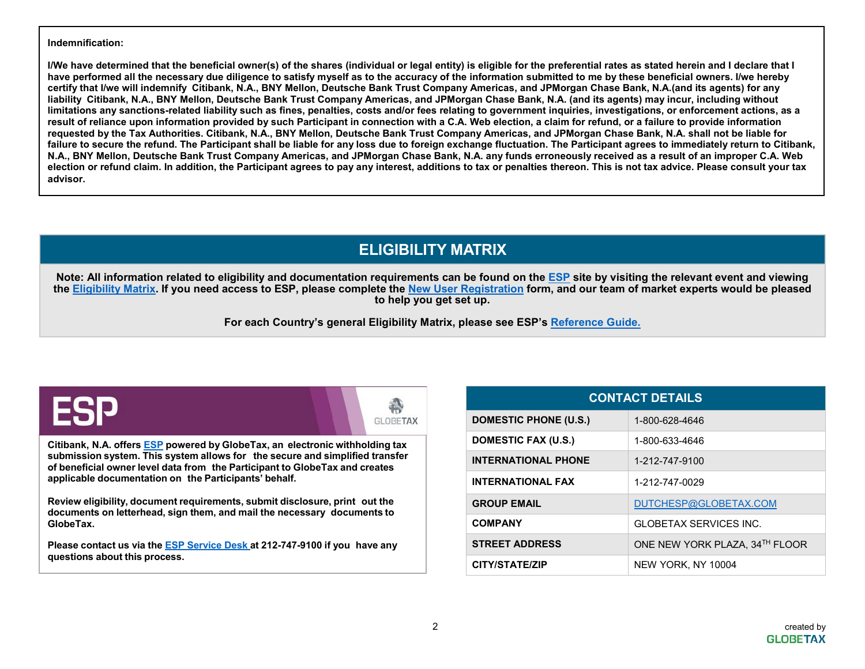#### **Indemnification:**

**I/We have determined that the beneficial owner(s) of the shares (individual or legal entity) is eligible for the preferential rates as stated herein and I declare that I have performed all the necessary due diligence to satisfy myself as to the accuracy of the information submitted to me by these beneficial owners. I/we hereby certify that I/we will indemnify Citibank, N.A., BNY Mellon, Deutsche Bank Trust Company Americas, and JPMorgan Chase Bank, N.A.(and its agents) for any liability Citibank, N.A., BNY Mellon, Deutsche Bank Trust Company Americas, and JPMorgan Chase Bank, N.A. (and its agents) may incur, including without limitations any sanctions-related liability such as fines, penalties, costs and/or fees relating to government inquiries, investigations, or enforcement actions, as a result of reliance upon information provided by such Participant in connection with a C.A. Web election, a claim for refund, or a failure to provide information requested by the Tax Authorities. Citibank, N.A., BNY Mellon, Deutsche Bank Trust Company Americas, and JPMorgan Chase Bank, N.A. shall not be liable for failure to secure the refund. The Participant shall be liable for any loss due to foreign exchange fluctuation. The Participant agrees to immediately return to Citibank, N.A., BNY Mellon, Deutsche Bank Trust Company Americas, and JPMorgan Chase Bank, N.A. any funds erroneously received as a result of an improper C.A. Web election or refund claim. In addition, the Participant agrees to pay any interest, additions to tax or penalties thereon. This is not tax advice. Please consult your tax advisor.**

## **ELIGIBILITY MATRIX**

Note: All information related to eligibility and documentation requirements can be found on the [ESP](https://esp.globetax.com/) site by visiting the relevant event and viewing the [Eligibility Matrix.](https://esp.globetax.com/reports/events) If you need access to ESP, please complete the [New User Registration](https://esp.globetax.com/register) form, and our team of market experts would be pleased **to help you get set up.**

**For each Country's general Eligibility Matrix, please see ESP's [Reference Guide.](https://esp.globetax.com/reference-guide)**

|  | ORETAX<br>GL. |
|--|---------------|
|--|---------------|

**Citibank, N.A. offers [ESP](https://esp.globetax.com/) powered by GlobeTax, an electronic withholding tax submission system. This system allows for the secure and simplified transfer of beneficial owner level data from the Participant to GlobeTax and creates applicable documentation on the Participants' behalf.**

**Review eligibility, document requirements, submit disclosure, print out the documents on letterhead, sign them, and mail the necessary documents to GlobeTax.**

**Please contact us via the ESP [Service](https://globetax.atlassian.net/servicedesk/customer/portal/11) Desk at 212-747-9100 if you have any questions about this process.**

| <b>CONTACT DETAILS</b>       |                                |  |  |
|------------------------------|--------------------------------|--|--|
| <b>DOMESTIC PHONE (U.S.)</b> | 1-800-628-4646                 |  |  |
| DOMESTIC FAX (U.S.)          | 1-800-633-4646                 |  |  |
| <b>INTERNATIONAL PHONE</b>   | 1-212-747-9100                 |  |  |
| <b>INTERNATIONAL FAX</b>     | 1-212-747-0029                 |  |  |
| <b>GROUP EMAIL</b>           | DUTCHESP@GLOBETAX.COM          |  |  |
| <b>COMPANY</b>               | GLOBETAX SERVICES INC.         |  |  |
| <b>STREET ADDRESS</b>        | ONE NEW YORK PLAZA, 34TH FLOOR |  |  |
| <b>CITY/STATE/ZIP</b>        | NEW YORK, NY 10004             |  |  |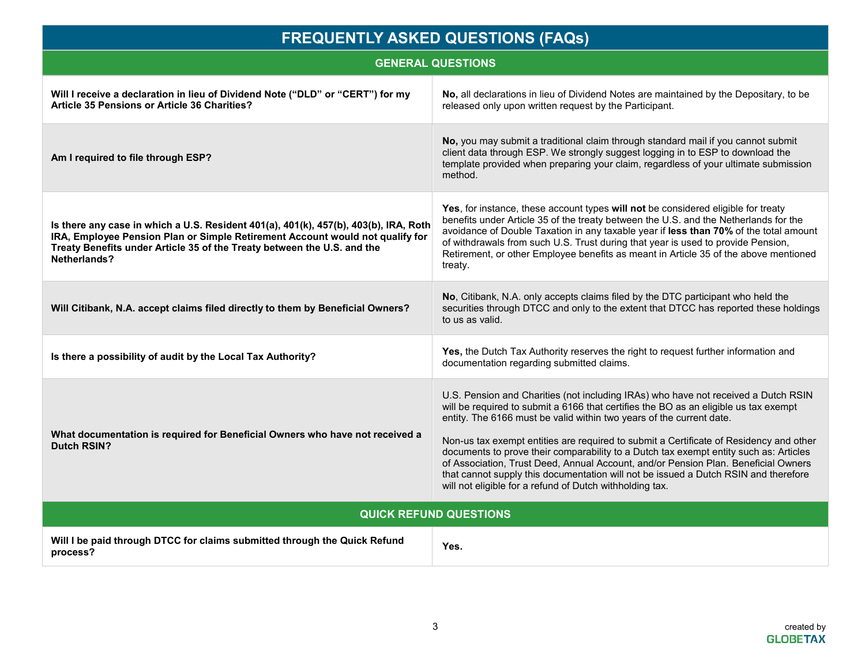| <b>FREQUENTLY ASKED QUESTIONS (FAQs)</b>                                                                                                                                                                                                                         |                                                                                                                                                                                                                                                                                                                                                                                                                                                                                                                                                                                                                                                                                |  |  |
|------------------------------------------------------------------------------------------------------------------------------------------------------------------------------------------------------------------------------------------------------------------|--------------------------------------------------------------------------------------------------------------------------------------------------------------------------------------------------------------------------------------------------------------------------------------------------------------------------------------------------------------------------------------------------------------------------------------------------------------------------------------------------------------------------------------------------------------------------------------------------------------------------------------------------------------------------------|--|--|
| <b>GENERAL QUESTIONS</b>                                                                                                                                                                                                                                         |                                                                                                                                                                                                                                                                                                                                                                                                                                                                                                                                                                                                                                                                                |  |  |
| Will I receive a declaration in lieu of Dividend Note ("DLD" or "CERT") for my<br>Article 35 Pensions or Article 36 Charities?                                                                                                                                   | No, all declarations in lieu of Dividend Notes are maintained by the Depositary, to be<br>released only upon written request by the Participant.                                                                                                                                                                                                                                                                                                                                                                                                                                                                                                                               |  |  |
| Am I required to file through ESP?                                                                                                                                                                                                                               | No, you may submit a traditional claim through standard mail if you cannot submit<br>client data through ESP. We strongly suggest logging in to ESP to download the<br>template provided when preparing your claim, regardless of your ultimate submission<br>method.                                                                                                                                                                                                                                                                                                                                                                                                          |  |  |
| Is there any case in which a U.S. Resident 401(a), 401(k), 457(b), 403(b), IRA, Roth<br>IRA, Employee Pension Plan or Simple Retirement Account would not qualify for<br>Treaty Benefits under Article 35 of the Treaty between the U.S. and the<br>Netherlands? | Yes, for instance, these account types will not be considered eligible for treaty<br>benefits under Article 35 of the treaty between the U.S. and the Netherlands for the<br>avoidance of Double Taxation in any taxable year if less than 70% of the total amount<br>of withdrawals from such U.S. Trust during that year is used to provide Pension,<br>Retirement, or other Employee benefits as meant in Article 35 of the above mentioned<br>treaty.                                                                                                                                                                                                                      |  |  |
| Will Citibank, N.A. accept claims filed directly to them by Beneficial Owners?                                                                                                                                                                                   | No, Citibank, N.A. only accepts claims filed by the DTC participant who held the<br>securities through DTCC and only to the extent that DTCC has reported these holdings<br>to us as valid.                                                                                                                                                                                                                                                                                                                                                                                                                                                                                    |  |  |
| Is there a possibility of audit by the Local Tax Authority?                                                                                                                                                                                                      | Yes, the Dutch Tax Authority reserves the right to request further information and<br>documentation regarding submitted claims.                                                                                                                                                                                                                                                                                                                                                                                                                                                                                                                                                |  |  |
| What documentation is required for Beneficial Owners who have not received a<br>Dutch RSIN?                                                                                                                                                                      | U.S. Pension and Charities (not including IRAs) who have not received a Dutch RSIN<br>will be required to submit a 6166 that certifies the BO as an eligible us tax exempt<br>entity. The 6166 must be valid within two years of the current date.<br>Non-us tax exempt entities are required to submit a Certificate of Residency and other<br>documents to prove their comparability to a Dutch tax exempt entity such as: Articles<br>of Association, Trust Deed, Annual Account, and/or Pension Plan. Beneficial Owners<br>that cannot supply this documentation will not be issued a Dutch RSIN and therefore<br>will not eligible for a refund of Dutch withholding tax. |  |  |
| <b>QUICK REFUND QUESTIONS</b>                                                                                                                                                                                                                                    |                                                                                                                                                                                                                                                                                                                                                                                                                                                                                                                                                                                                                                                                                |  |  |
| Will I be paid through DTCC for claims submitted through the Quick Refund<br>process?                                                                                                                                                                            | Yes.                                                                                                                                                                                                                                                                                                                                                                                                                                                                                                                                                                                                                                                                           |  |  |